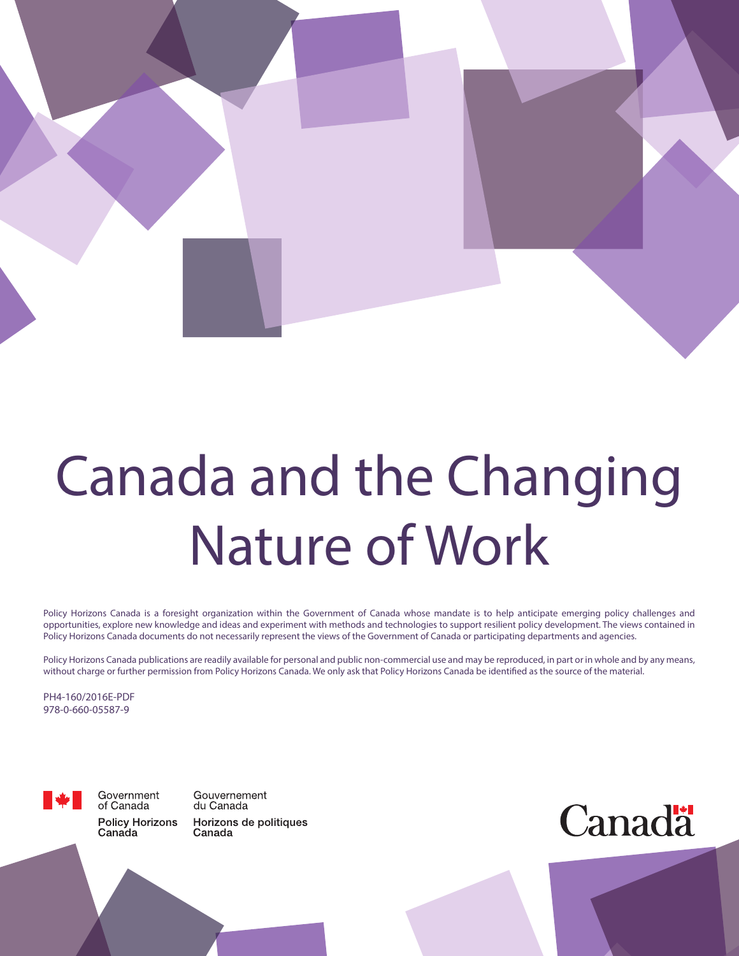

# Canada and the Changing Nature of Work

Policy Horizons Canada is a foresight organization within the Government of Canada whose mandate is to help anticipate emerging policy challenges and opportunities, explore new knowledge and ideas and experiment with methods and technologies to support resilient policy development. The views contained in Policy Horizons Canada documents do not necessarily represent the views of the Government of Canada or participating departments and agencies.

Policy Horizons Canada publications are readily available for personal and public non-commercial use and may be reproduced, in part or in whole and by any means, without charge or further permission from Policy Horizons Canada. We only ask that Policy Horizons Canada be identified as the source of the material.

PH4-160/2016E-PDF 978-0-660-05587-9



Government of Canada **Policy Horizons** Canada

Gouvernement du Canada Horizons de politiques Canada

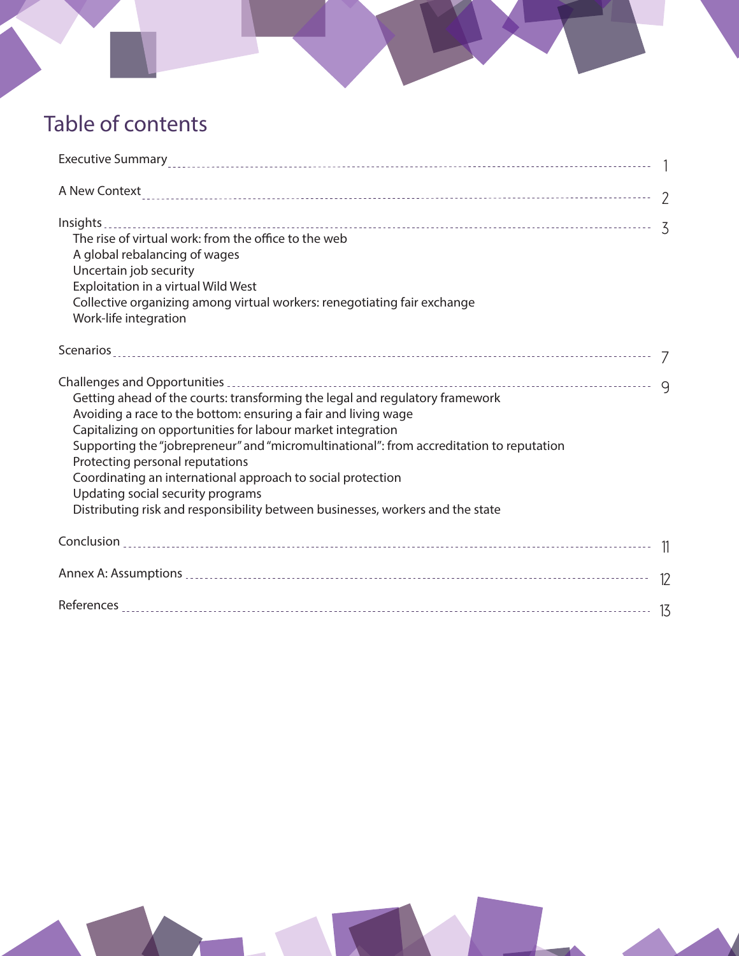# Table of contents

| Executive Summary<br>1                                                                                                                                                                                                                                                                                                                                                                                                                                                                                                             |  |
|------------------------------------------------------------------------------------------------------------------------------------------------------------------------------------------------------------------------------------------------------------------------------------------------------------------------------------------------------------------------------------------------------------------------------------------------------------------------------------------------------------------------------------|--|
| A New Context 220 methods are controlled as a control of the control of the control of the control of the control of the control of the control of the control of the control of the control of the control of the control of                                                                                                                                                                                                                                                                                                      |  |
| Insights<br>The rise of virtual work: from the office to the web<br>A global rebalancing of wages<br>Uncertain job security<br>Exploitation in a virtual Wild West<br>Collective organizing among virtual workers: renegotiating fair exchange<br>Work-life integration                                                                                                                                                                                                                                                            |  |
|                                                                                                                                                                                                                                                                                                                                                                                                                                                                                                                                    |  |
| Getting ahead of the courts: transforming the legal and regulatory framework<br>Avoiding a race to the bottom: ensuring a fair and living wage<br>Capitalizing on opportunities for labour market integration<br>Supporting the "jobrepreneur" and "micromultinational": from accreditation to reputation<br>Protecting personal reputations<br>Coordinating an international approach to social protection<br>Updating social security programs<br>Distributing risk and responsibility between businesses, workers and the state |  |
|                                                                                                                                                                                                                                                                                                                                                                                                                                                                                                                                    |  |
|                                                                                                                                                                                                                                                                                                                                                                                                                                                                                                                                    |  |
|                                                                                                                                                                                                                                                                                                                                                                                                                                                                                                                                    |  |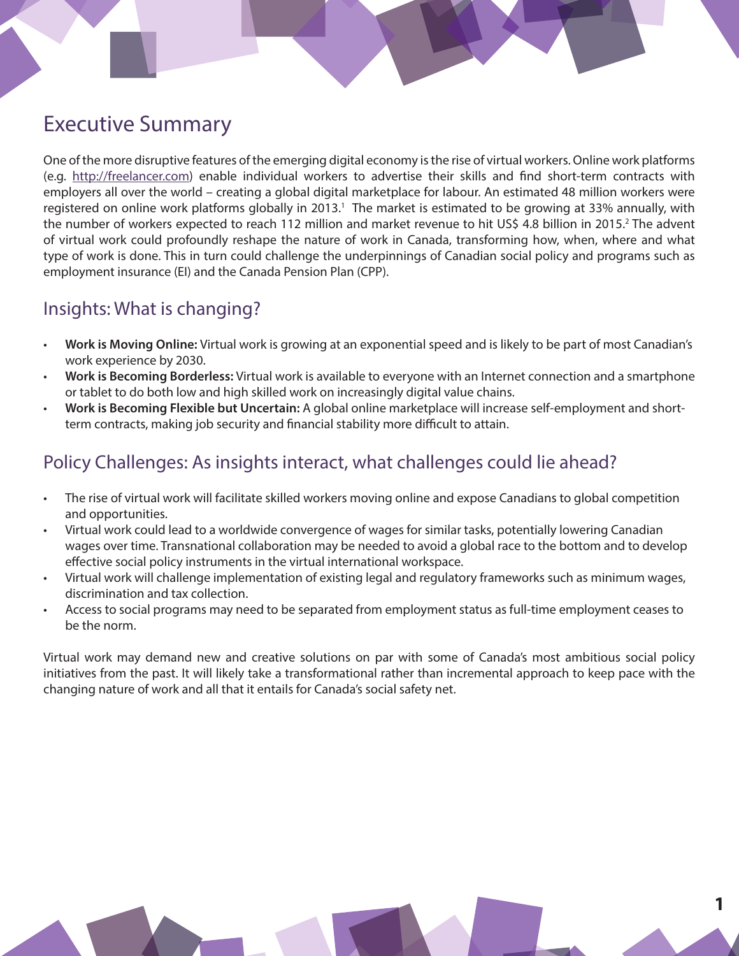# Executive Summary

One of the more disruptive features of the emerging digital economy is the rise of virtual workers. Online work platforms (e.g. [http://freelancer.com\)](http://freelancer.com) enable individual workers to advertise their skills and find short-term contracts with employers all over the world – creating a global digital marketplace for labour. An estimated 48 million workers were registered on online work platforms globally in 2013.<sup>1</sup> The market is estimated to be growing at 33% annually, with the number of workers expected to reach 112 million and market revenue to hit US\$ 4.8 billion in 2015.<sup>2</sup> The advent of virtual work could profoundly reshape the nature of work in Canada, transforming how, when, where and what type of work is done. This in turn could challenge the underpinnings of Canadian social policy and programs such as employment insurance (EI) and the Canada Pension Plan (CPP).

# Insights: What is changing?

- **Work is Moving Online:** Virtual work is growing at an exponential speed and is likely to be part of most Canadian's work experience by 2030.
- **Work is Becoming Borderless:** Virtual work is available to everyone with an Internet connection and a smartphone or tablet to do both low and high skilled work on increasingly digital value chains.
- **Work is Becoming Flexible but Uncertain:** A global online marketplace will increase self-employment and shortterm contracts, making job security and financial stability more difficult to attain.

# Policy Challenges: As insights interact, what challenges could lie ahead?

- The rise of virtual work will facilitate skilled workers moving online and expose Canadians to global competition and opportunities.
- Virtual work could lead to a worldwide convergence of wages for similar tasks, potentially lowering Canadian wages over time. Transnational collaboration may be needed to avoid a global race to the bottom and to develop effective social policy instruments in the virtual international workspace.
- Virtual work will challenge implementation of existing legal and regulatory frameworks such as minimum wages, discrimination and tax collection.
- Access to social programs may need to be separated from employment status as full-time employment ceases to be the norm.

Virtual work may demand new and creative solutions on par with some of Canada's most ambitious social policy initiatives from the past. It will likely take a transformational rather than incremental approach to keep pace with the changing nature of work and all that it entails for Canada's social safety net.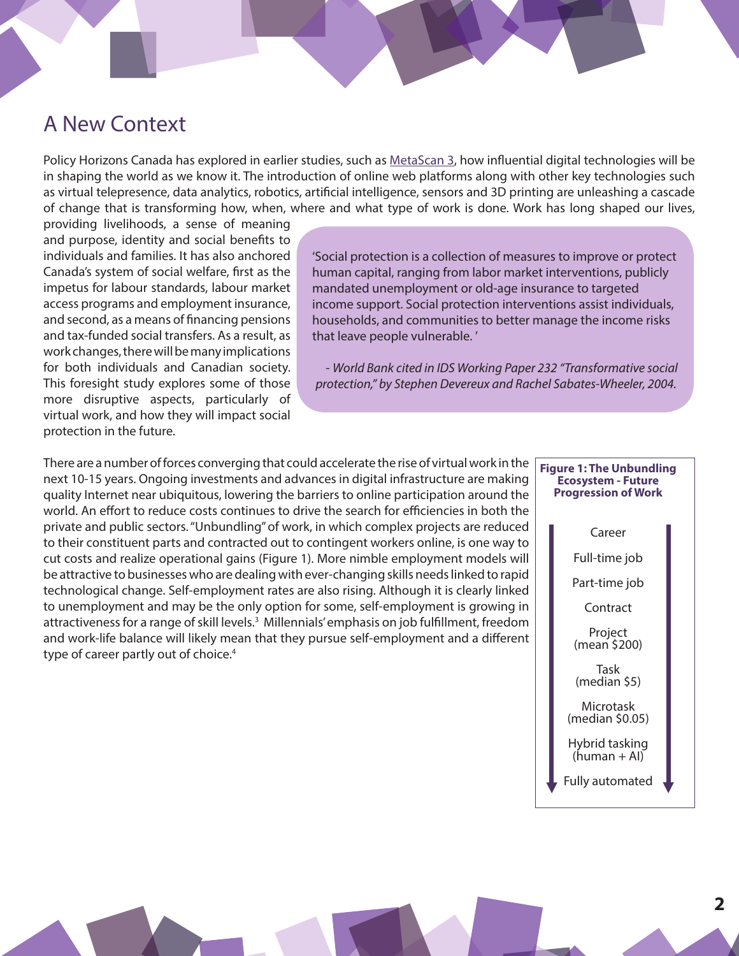# A New Context

Policy Horizons Canada has explored in earlier studies, such as [MetaScan 3](http://horizons.gc.ca/eng/content/metascan-3-emerging-technologies-0), how influential digital technologies will be in shaping the world as we know it. The introduction of online web platforms along with other key technologies such as virtual telepresence, data analytics, robotics, artificial intelligence, sensors and 3D printing are unleashing a cascade of change that is transforming how, when, where and what type of work is done. Work has long shaped our lives,

providing livelihoods, a sense of meaning and purpose, identity and social benefits to individuals and families. It has also anchored Canada's system of social welfare, first as the impetus for labour standards, labour market access programs and employment insurance, and second, as a means of financing pensions and tax-funded social transfers. As a result, as work changes, there will be many implications for both individuals and Canadian society. This foresight study explores some of those more disruptive aspects, particularly of virtual work, and how they will impact social protection in the future.

'Social protection is a collection of measures to improve or protect human capital, ranging from labor market interventions, publicly mandated unemployment or old-age insurance to targeted income support. Social protection interventions assist individuals, households, and communities to better manage the income risks that leave people vulnerable. '

- *World Bank cited in IDS Working Paper 232 "Transformative social protection," by Stephen Devereux and Rachel Sabates-Wheeler, 2004.* 

There are a number of forces converging that could accelerate the rise of virtual work in the next 10-15 years. Ongoing investments and advances in digital infrastructure are making quality Internet near ubiquitous, lowering the barriers to online participation around the world. An effort to reduce costs continues to drive the search for efficiencies in both the private and public sectors. "Unbundling" of work, in which complex projects are reduced to their constituent parts and contracted out to contingent workers online, is one way to cut costs and realize operational gains (Figure 1). More nimble employment models will be attractive to businesses who are dealing with ever-changing skills needs linked to rapid technological change. Self-employment rates are also rising. Although it is clearly linked to unemployment and may be the only option for some, self-employment is growing in attractiveness for a range of skill levels.<sup>3</sup> Millennials' emphasis on job fulfillment, freedom and work-life balance will likely mean that they pursue self-employment and a different type of career partly out of choice.<sup>4</sup>

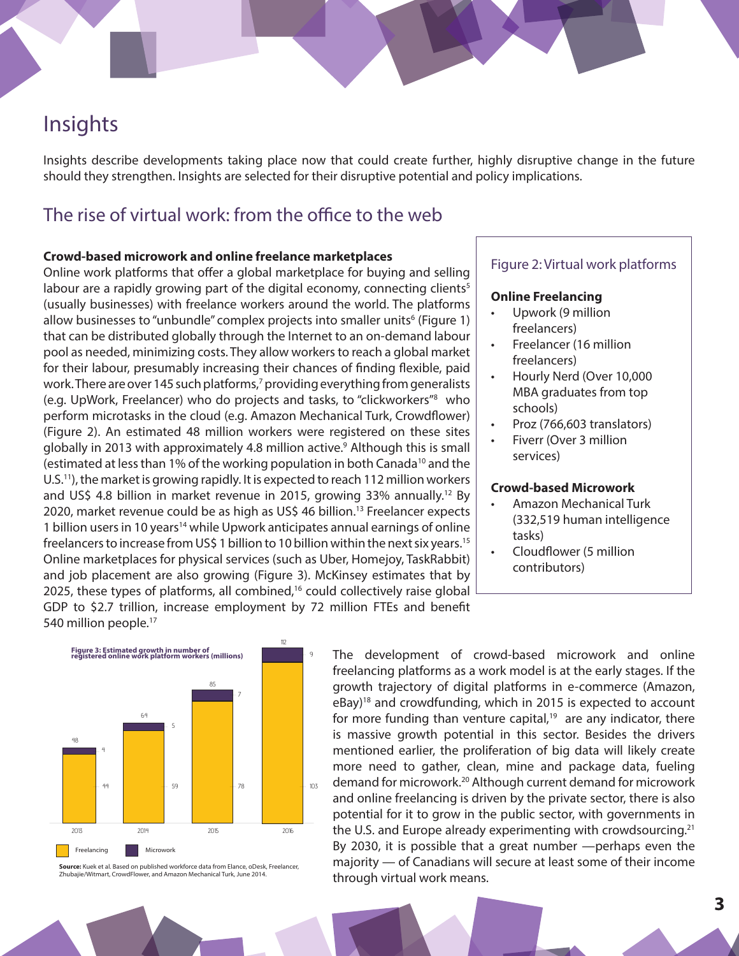# Insights

Insights describe developments taking place now that could create further, highly disruptive change in the future should they strengthen. Insights are selected for their disruptive potential and policy implications.

# The rise of virtual work: from the office to the web

#### **Crowd-based microwork and online freelance marketplaces**

Online work platforms that offer a global marketplace for buying and selling labour are a rapidly growing part of the digital economy, connecting clients<sup>5</sup> (usually businesses) with freelance workers around the world. The platforms allow businesses to "unbundle" complex projects into smaller units<sup>6</sup> (Figure 1) that can be distributed globally through the Internet to an on-demand labour pool as needed, minimizing costs. They allow workers to reach a global market for their labour, presumably increasing their chances of finding flexible, paid work. There are over 145 such platforms,7 providing everything from generalists (e.g. UpWork, Freelancer) who do projects and tasks, to "clickworkers"8 who perform microtasks in the cloud (e.g. Amazon Mechanical Turk, Crowdflower) (Figure 2). An estimated 48 million workers were registered on these sites globally in 2013 with approximately 4.8 million active.9 Although this is small (estimated at less than 1% of the working population in both Canada10 and the U.S.11), the market is growing rapidly. It is expected to reach 112 million workers and US\$ 4.8 billion in market revenue in 2015, growing 33% annually.12 By 2020, market revenue could be as high as US\$ 46 billion.13 Freelancer expects 1 billion users in 10 years<sup>14</sup> while Upwork anticipates annual earnings of online freelancers to increase from US\$ 1 billion to 10 billion within the next six years.15 Online marketplaces for physical services (such as Uber, Homejoy, TaskRabbit) and job placement are also growing (Figure 3). McKinsey estimates that by 2025, these types of platforms, all combined,<sup>16</sup> could collectively raise global GDP to \$2.7 trillion, increase employment by 72 million FTEs and benefit 540 million people.<sup>17</sup>

#### Figure 2: Virtual work platforms

#### **Online Freelancing**

- Upwork (9 million freelancers)
- Freelancer (16 million freelancers)
- Hourly Nerd (Over 10,000 MBA graduates from top schools)
- Proz (766,603 translators)
- Fiverr (Over 3 million services)

#### **Crowd-based Microwork**

- Amazon Mechanical Turk (332,519 human intelligence tasks)
- Cloudflower (5 million contributors)



**Source:** Kuek et al. Based on published workforce data from Elance, oDesk, Freelancer, Zhubajie/Witmart, CrowdFlower, and Amazon Mechanical Turk, June 2014.

The development of crowd-based microwork and online freelancing platforms as a work model is at the early stages. If the growth trajectory of digital platforms in e-commerce (Amazon, eBay)18 and crowdfunding, which in 2015 is expected to account for more funding than venture capital, $19$  are any indicator, there is massive growth potential in this sector. Besides the drivers mentioned earlier, the proliferation of big data will likely create more need to gather, clean, mine and package data, fueling demand for microwork.20 Although current demand for microwork and online freelancing is driven by the private sector, there is also potential for it to grow in the public sector, with governments in the U.S. and Europe already experimenting with crowdsourcing.<sup>21</sup> By 2030, it is possible that a great number —perhaps even the majority — of Canadians will secure at least some of their income through virtual work means.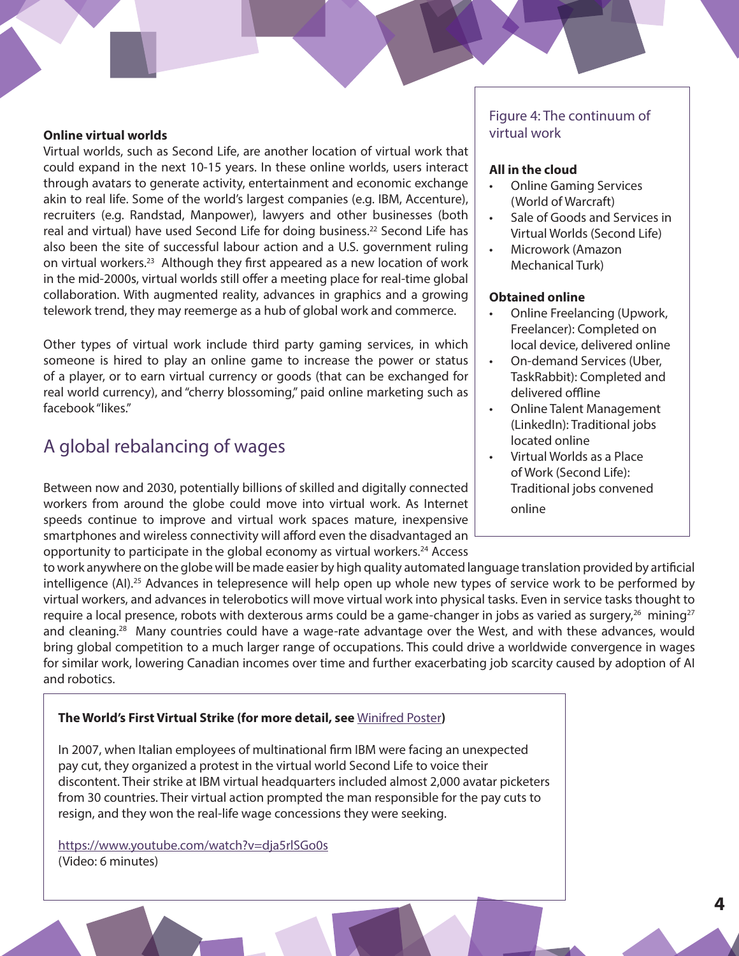#### **Online virtual worlds**

Virtual worlds, such as Second Life, are another location of virtual work that could expand in the next 10-15 years. In these online worlds, users interact through avatars to generate activity, entertainment and economic exchange akin to real life. Some of the world's largest companies (e.g. IBM, Accenture), recruiters (e.g. Randstad, Manpower), lawyers and other businesses (both real and virtual) have used Second Life for doing business.<sup>22</sup> Second Life has also been the site of successful labour action and a U.S. government ruling on virtual workers.23 Although they first appeared as a new location of work in the mid-2000s, virtual worlds still offer a meeting place for real-time global collaboration. With augmented reality, advances in graphics and a growing telework trend, they may reemerge as a hub of global work and commerce.

Other types of virtual work include third party gaming services, in which someone is hired to play an online game to increase the power or status of a player, or to earn virtual currency or goods (that can be exchanged for real world currency), and "cherry blossoming," paid online marketing such as facebook "likes."

# A global rebalancing of wages

Between now and 2030, potentially billions of skilled and digitally connected workers from around the globe could move into virtual work. As Internet speeds continue to improve and virtual work spaces mature, inexpensive smartphones and wireless connectivity will afford even the disadvantaged an opportunity to participate in the global economy as virtual workers.<sup>24</sup> Access

#### Figure 4: The continuum of virtual work

#### **All in the cloud**

- Online Gaming Services (World of Warcraft)
- Sale of Goods and Services in Virtual Worlds (Second Life)
- Microwork (Amazon Mechanical Turk)

#### **Obtained online**

- Online Freelancing (Upwork, Freelancer): Completed on local device, delivered online
- On-demand Services (Uber, TaskRabbit): Completed and delivered offline
- Online Talent Management (LinkedIn): Traditional jobs located online
- Virtual Worlds as a Place of Work (Second Life): Traditional jobs convened online

to work anywhere on the globe will be made easier by high quality automated language translation provided by artificial intelligence (AI).<sup>25</sup> Advances in telepresence will help open up whole new types of service work to be performed by virtual workers, and advances in telerobotics will move virtual work into physical tasks. Even in service tasks thought to require a local presence, robots with dexterous arms could be a game-changer in jobs as varied as surgery,<sup>26</sup> mining<sup>27</sup> and cleaning.<sup>28</sup> Many countries could have a wage-rate advantage over the West, and with these advances, would bring global competition to a much larger range of occupations. This could drive a worldwide convergence in wages for similar work, lowering Canadian incomes over time and further exacerbating job scarcity caused by adoption of AI and robotics.

#### **The World's First Virtual Strike (for more detail, see** [Winifred Poster](http://www.digitallabor.org/participants/winifred-poster)**)**

In 2007, when Italian employees of multinational firm IBM were facing an unexpected pay cut, they organized a protest in the virtual world Second Life to voice their discontent. Their strike at IBM virtual headquarters included almost 2,000 avatar picketers from 30 countries. Their virtual action prompted the man responsible for the pay cuts to resign, and they won the real-life wage concessions they were seeking.

<https://www.youtube.com/watch?v=dja5rlSGo0s> (Video: 6 minutes)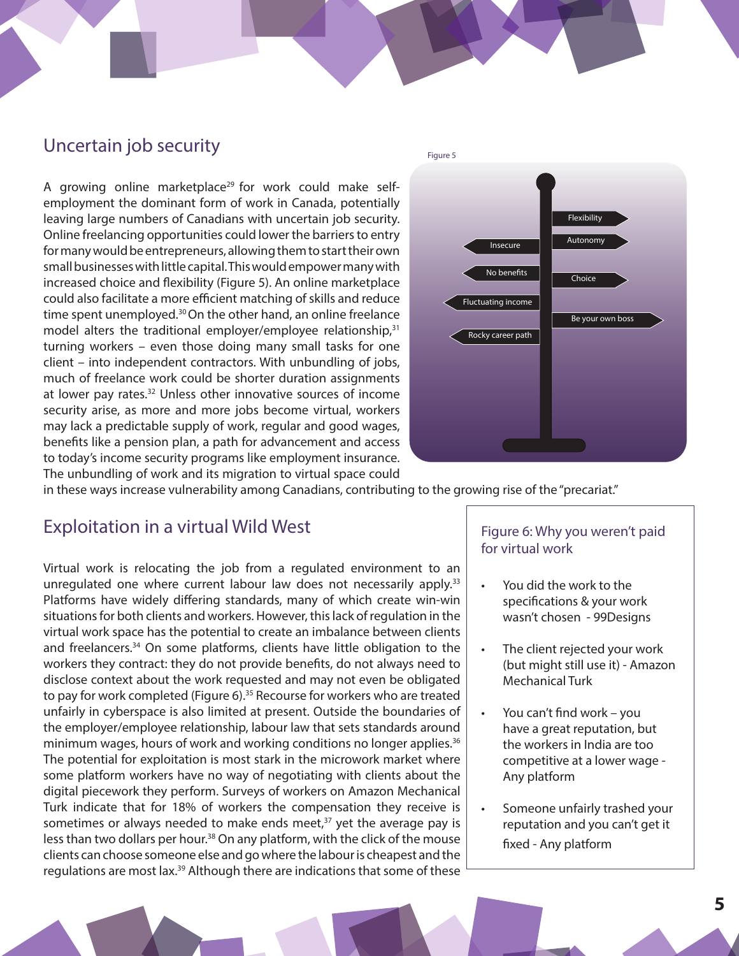### Uncertain job security

A growing online marketplace<sup>29</sup> for work could make selfemployment the dominant form of work in Canada, potentially leaving large numbers of Canadians with uncertain job security. Online freelancing opportunities could lower the barriers to entry for many would be entrepreneurs, allowing them to start their own small businesses with little capital. This would empower many with increased choice and flexibility (Figure 5). An online marketplace could also facilitate a more efficient matching of skills and reduce time spent unemployed.<sup>30</sup> On the other hand, an online freelance model alters the traditional employer/employee relationship,<sup>31</sup> turning workers – even those doing many small tasks for one client – into independent contractors. With unbundling of jobs, much of freelance work could be shorter duration assignments at lower pay rates.<sup>32</sup> Unless other innovative sources of income security arise, as more and more jobs become virtual, workers may lack a predictable supply of work, regular and good wages, benefits like a pension plan, a path for advancement and access to today's income security programs like employment insurance. The unbundling of work and its migration to virtual space could



in these ways increase vulnerability among Canadians, contributing to the growing rise of the "precariat."

### Exploitation in a virtual Wild West

Virtual work is relocating the job from a regulated environment to an unregulated one where current labour law does not necessarily apply.<sup>33</sup> Platforms have widely differing standards, many of which create win-win situations for both clients and workers. However, this lack of regulation in the virtual work space has the potential to create an imbalance between clients and freelancers.34 On some platforms, clients have little obligation to the workers they contract: they do not provide benefits, do not always need to disclose context about the work requested and may not even be obligated to pay for work completed (Figure 6).<sup>35</sup> Recourse for workers who are treated unfairly in cyberspace is also limited at present. Outside the boundaries of the employer/employee relationship, labour law that sets standards around minimum wages, hours of work and working conditions no longer applies.<sup>36</sup> The potential for exploitation is most stark in the microwork market where some platform workers have no way of negotiating with clients about the digital piecework they perform. Surveys of workers on Amazon Mechanical Turk indicate that for 18% of workers the compensation they receive is sometimes or always needed to make ends meet, $37$  yet the average pay is less than two dollars per hour.38 On any platform, with the click of the mouse clients can choose someone else and go where the labour is cheapest and the regulations are most lax.39 Although there are indications that some of these

#### Figure 6: Why you weren't paid for virtual work

- You did the work to the specifications & your work wasn't chosen - 99Designs
- The client rejected your work (but might still use it) - Amazon Mechanical Turk
- You can't find work you have a great reputation, but the workers in India are too competitive at a lower wage - Any platform
- Someone unfairly trashed your reputation and you can't get it fixed - Any platform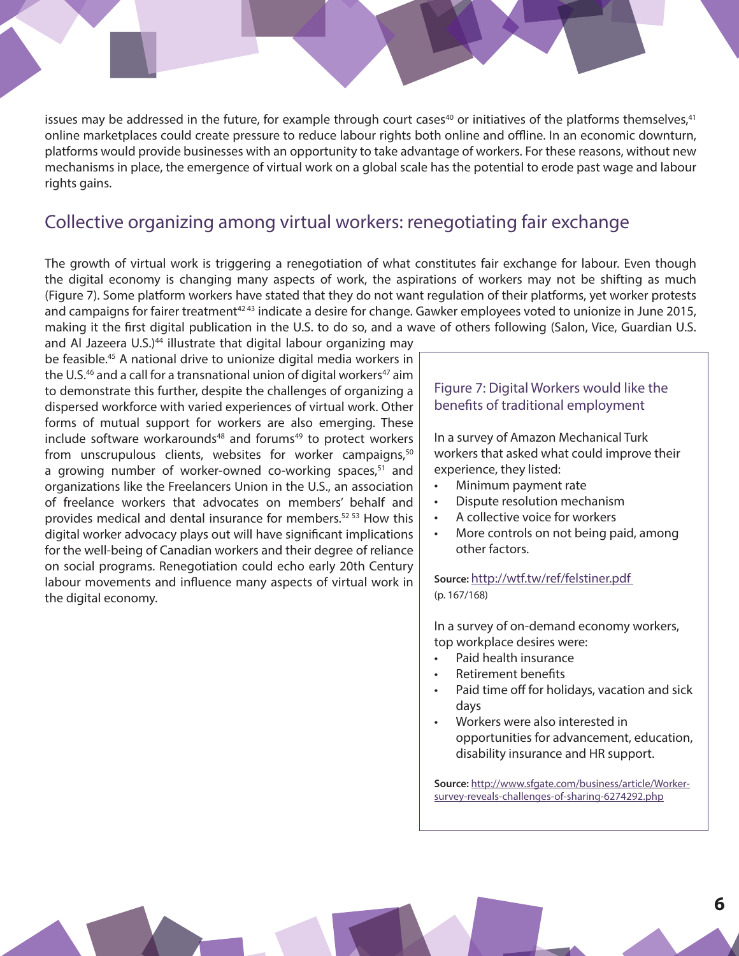issues may be addressed in the future, for example through court cases<sup>40</sup> or initiatives of the platforms themselves,<sup>41</sup> online marketplaces could create pressure to reduce labour rights both online and offline. In an economic downturn, platforms would provide businesses with an opportunity to take advantage of workers. For these reasons, without new mechanisms in place, the emergence of virtual work on a global scale has the potential to erode past wage and labour rights gains.

### Collective organizing among virtual workers: renegotiating fair exchange

The growth of virtual work is triggering a renegotiation of what constitutes fair exchange for labour. Even though the digital economy is changing many aspects of work, the aspirations of workers may not be shifting as much (Figure 7). Some platform workers have stated that they do not want regulation of their platforms, yet worker protests and campaigns for fairer treatment<sup>4243</sup> indicate a desire for change. Gawker employees voted to unionize in June 2015, making it the first digital publication in the U.S. to do so, and a wave of others following (Salon, Vice, Guardian U.S.

and Al Jazeera U.S.)<sup>44</sup> illustrate that digital labour organizing may be feasible.<sup>45</sup> A national drive to unionize digital media workers in the U.S. $46$  and a call for a transnational union of digital workers $47$  aim to demonstrate this further, despite the challenges of organizing a dispersed workforce with varied experiences of virtual work. Other forms of mutual support for workers are also emerging. These include software workarounds<sup>48</sup> and forums<sup>49</sup> to protect workers from unscrupulous clients, websites for worker campaigns,<sup>50</sup> a growing number of worker-owned co-working spaces, $51$  and organizations like the Freelancers Union in the U.S., an association of freelance workers that advocates on members' behalf and provides medical and dental insurance for members.<sup>52 53</sup> How this digital worker advocacy plays out will have significant implications for the well-being of Canadian workers and their degree of reliance on social programs. Renegotiation could echo early 20th Century labour movements and influence many aspects of virtual work in the digital economy.

#### Figure 7: Digital Workers would like the benefits of traditional employment

In a survey of Amazon Mechanical Turk workers that asked what could improve their experience, they listed:

- Minimum payment rate
- Dispute resolution mechanism
- A collective voice for workers
- More controls on not being paid, among other factors.

**Source:** [http://wtf.tw/ref/felstiner.pdf](http://wtf.tw/ref/felstiner.pdf )  (p. 167/168)

In a survey of on-demand economy workers, top workplace desires were:

- Paid health insurance
- Retirement benefits
- Paid time off for holidays, vacation and sick days
- Workers were also interested in opportunities for advancement, education, disability insurance and HR support.

**Source:** [http://www.sfgate.com/business/article/Worker](http://www.sfgate.com/business/article/Worker-survey-reveals-challenges-of-sharing-6274292.php)[survey-reveals-challenges-of-sharing-6274292.php](http://www.sfgate.com/business/article/Worker-survey-reveals-challenges-of-sharing-6274292.php)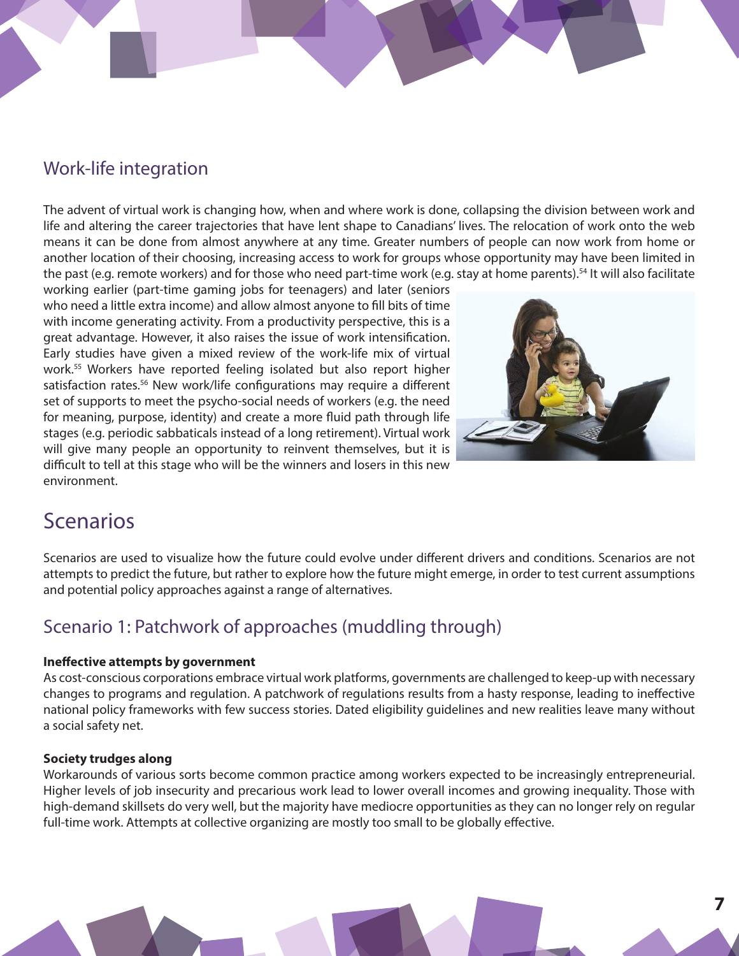# Work-life integration

The advent of virtual work is changing how, when and where work is done, collapsing the division between work and life and altering the career trajectories that have lent shape to Canadians' lives. The relocation of work onto the web means it can be done from almost anywhere at any time. Greater numbers of people can now work from home or another location of their choosing, increasing access to work for groups whose opportunity may have been limited in the past (e.g. remote workers) and for those who need part-time work (e.g. stay at home parents).<sup>54</sup> It will also facilitate

working earlier (part-time gaming jobs for teenagers) and later (seniors who need a little extra income) and allow almost anyone to fill bits of time with income generating activity. From a productivity perspective, this is a great advantage. However, it also raises the issue of work intensification. Early studies have given a mixed review of the work-life mix of virtual work.<sup>55</sup> Workers have reported feeling isolated but also report higher satisfaction rates.<sup>56</sup> New work/life configurations may require a different set of supports to meet the psycho-social needs of workers (e.g. the need for meaning, purpose, identity) and create a more fluid path through life stages (e.g. periodic sabbaticals instead of a long retirement). Virtual work will give many people an opportunity to reinvent themselves, but it is difficult to tell at this stage who will be the winners and losers in this new environment.



# Scenarios

Scenarios are used to visualize how the future could evolve under different drivers and conditions. Scenarios are not attempts to predict the future, but rather to explore how the future might emerge, in order to test current assumptions and potential policy approaches against a range of alternatives.

# Scenario 1: Patchwork of approaches (muddling through)

#### **Ineffective attempts by government**

As cost-conscious corporations embrace virtual work platforms, governments are challenged to keep-up with necessary changes to programs and regulation. A patchwork of regulations results from a hasty response, leading to ineffective national policy frameworks with few success stories. Dated eligibility guidelines and new realities leave many without a social safety net.

#### **Society trudges along**

Workarounds of various sorts become common practice among workers expected to be increasingly entrepreneurial. Higher levels of job insecurity and precarious work lead to lower overall incomes and growing inequality. Those with high-demand skillsets do very well, but the majority have mediocre opportunities as they can no longer rely on regular full-time work. Attempts at collective organizing are mostly too small to be globally effective.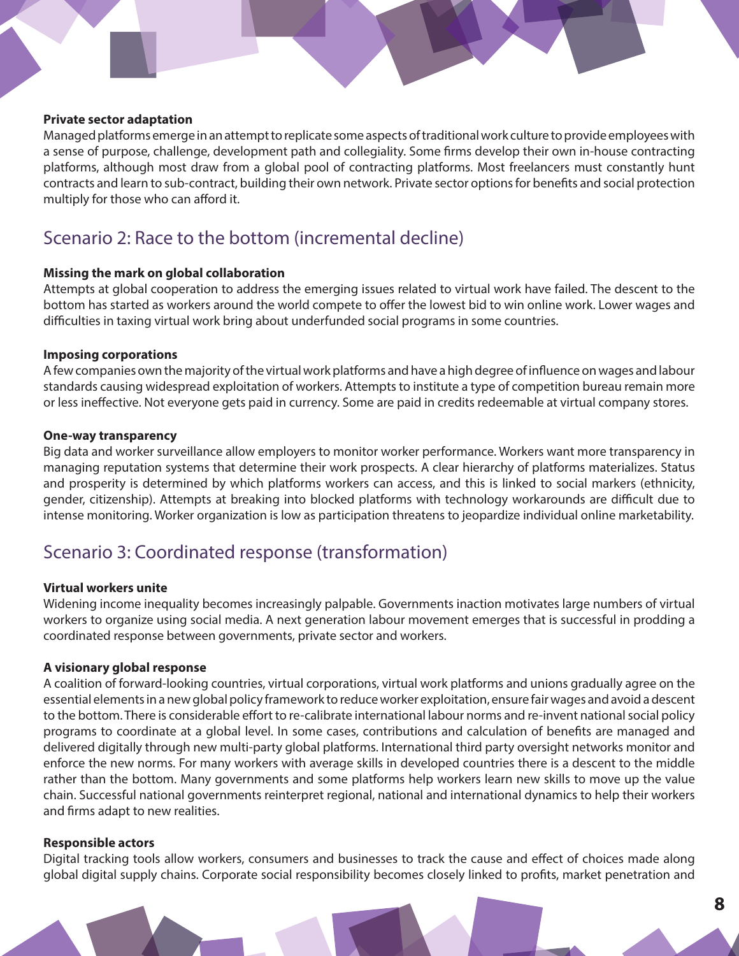#### **Private sector adaptation**

Managed platforms emerge in an attempt to replicate some aspects of traditional work culture to provide employees with a sense of purpose, challenge, development path and collegiality. Some firms develop their own in-house contracting platforms, although most draw from a global pool of contracting platforms. Most freelancers must constantly hunt contracts and learn to sub-contract, building their own network. Private sector options for benefits and social protection multiply for those who can afford it.

### Scenario 2: Race to the bottom (incremental decline)

#### **Missing the mark on global collaboration**

Attempts at global cooperation to address the emerging issues related to virtual work have failed. The descent to the bottom has started as workers around the world compete to offer the lowest bid to win online work. Lower wages and difficulties in taxing virtual work bring about underfunded social programs in some countries.

#### **Imposing corporations**

A few companies own the majority of the virtual work platforms and have a high degree of influence on wages and labour standards causing widespread exploitation of workers. Attempts to institute a type of competition bureau remain more or less ineffective. Not everyone gets paid in currency. Some are paid in credits redeemable at virtual company stores.

#### **One-way transparency**

Big data and worker surveillance allow employers to monitor worker performance. Workers want more transparency in managing reputation systems that determine their work prospects. A clear hierarchy of platforms materializes. Status and prosperity is determined by which platforms workers can access, and this is linked to social markers (ethnicity, gender, citizenship). Attempts at breaking into blocked platforms with technology workarounds are difficult due to intense monitoring. Worker organization is low as participation threatens to jeopardize individual online marketability.

### Scenario 3: Coordinated response (transformation)

#### **Virtual workers unite**

Widening income inequality becomes increasingly palpable. Governments inaction motivates large numbers of virtual workers to organize using social media. A next generation labour movement emerges that is successful in prodding a coordinated response between governments, private sector and workers.

#### **A visionary global response**

A coalition of forward-looking countries, virtual corporations, virtual work platforms and unions gradually agree on the essential elements in a new global policy framework to reduce worker exploitation, ensure fair wages and avoid a descent to the bottom. There is considerable effort to re-calibrate international labour norms and re-invent national social policy programs to coordinate at a global level. In some cases, contributions and calculation of benefits are managed and delivered digitally through new multi-party global platforms. International third party oversight networks monitor and enforce the new norms. For many workers with average skills in developed countries there is a descent to the middle rather than the bottom. Many governments and some platforms help workers learn new skills to move up the value chain. Successful national governments reinterpret regional, national and international dynamics to help their workers and firms adapt to new realities.

#### **Responsible actors**

Digital tracking tools allow workers, consumers and businesses to track the cause and effect of choices made along global digital supply chains. Corporate social responsibility becomes closely linked to profits, market penetration and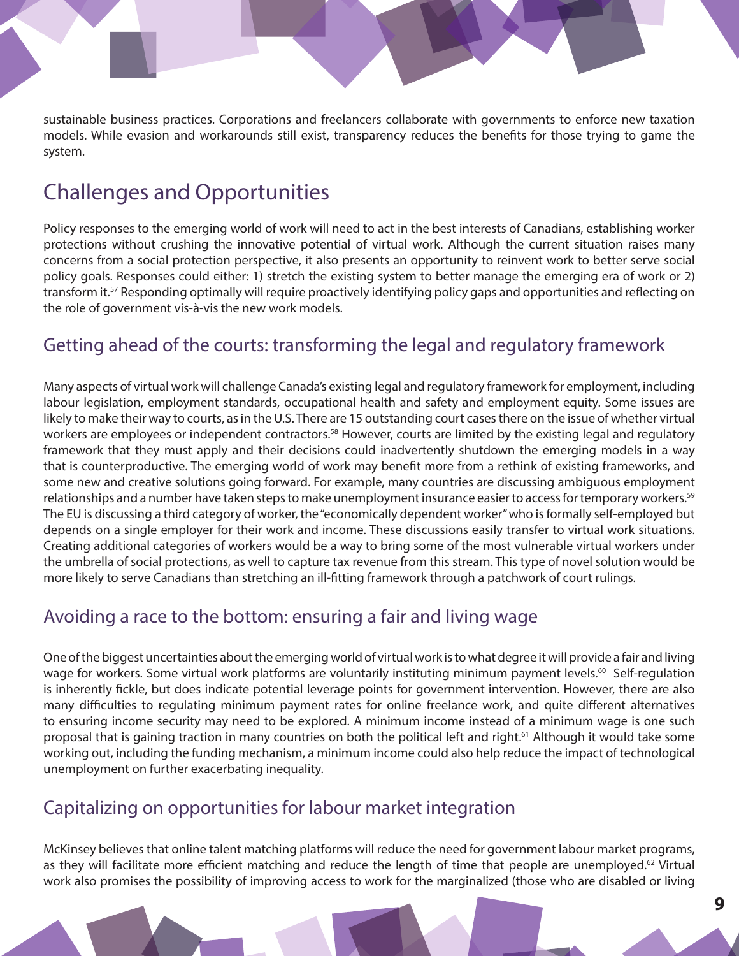sustainable business practices. Corporations and freelancers collaborate with governments to enforce new taxation models. While evasion and workarounds still exist, transparency reduces the benefits for those trying to game the system.

# Challenges and Opportunities

Policy responses to the emerging world of work will need to act in the best interests of Canadians, establishing worker protections without crushing the innovative potential of virtual work. Although the current situation raises many concerns from a social protection perspective, it also presents an opportunity to reinvent work to better serve social policy goals. Responses could either: 1) stretch the existing system to better manage the emerging era of work or 2) transform it.57 Responding optimally will require proactively identifying policy gaps and opportunities and reflecting on the role of government vis-à-vis the new work models.

# Getting ahead of the courts: transforming the legal and regulatory framework

Many aspects of virtual work will challenge Canada's existing legal and regulatory framework for employment, including labour legislation, employment standards, occupational health and safety and employment equity. Some issues are likely to make their way to courts, as in the U.S. There are 15 outstanding court cases there on the issue of whether virtual workers are employees or independent contractors.<sup>58</sup> However, courts are limited by the existing legal and regulatory framework that they must apply and their decisions could inadvertently shutdown the emerging models in a way that is counterproductive. The emerging world of work may benefit more from a rethink of existing frameworks, and some new and creative solutions going forward. For example, many countries are discussing ambiguous employment relationships and a number have taken steps to make unemployment insurance easier to access for temporary workers.<sup>59</sup> The EU is discussing a third category of worker, the "economically dependent worker" who is formally self-employed but depends on a single employer for their work and income. These discussions easily transfer to virtual work situations. Creating additional categories of workers would be a way to bring some of the most vulnerable virtual workers under the umbrella of social protections, as well to capture tax revenue from this stream. This type of novel solution would be more likely to serve Canadians than stretching an ill-fitting framework through a patchwork of court rulings.

# Avoiding a race to the bottom: ensuring a fair and living wage

One of the biggest uncertainties about the emerging world of virtual work is to what degree it will provide a fair and living wage for workers. Some virtual work platforms are voluntarily instituting minimum payment levels.<sup>60</sup> Self-regulation is inherently fickle, but does indicate potential leverage points for government intervention. However, there are also many difficulties to regulating minimum payment rates for online freelance work, and quite different alternatives to ensuring income security may need to be explored. A minimum income instead of a minimum wage is one such proposal that is gaining traction in many countries on both the political left and right.<sup>61</sup> Although it would take some working out, including the funding mechanism, a minimum income could also help reduce the impact of technological unemployment on further exacerbating inequality.

# Capitalizing on opportunities for labour market integration

McKinsey believes that online talent matching platforms will reduce the need for government labour market programs, as they will facilitate more efficient matching and reduce the length of time that people are unemployed.<sup>62</sup> Virtual work also promises the possibility of improving access to work for the marginalized (those who are disabled or living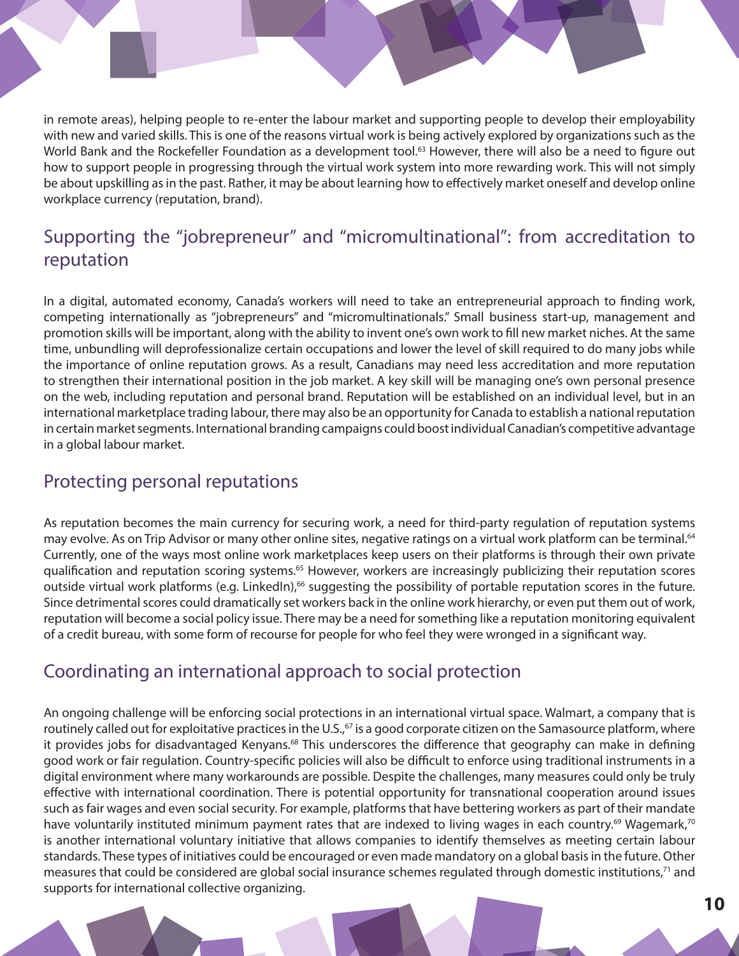in remote areas), helping people to re-enter the labour market and supporting people to develop their employability with new and varied skills. This is one of the reasons virtual work is being actively explored by organizations such as the World Bank and the Rockefeller Foundation as a development tool.<sup>63</sup> However, there will also be a need to figure out how to support people in progressing through the virtual work system into more rewarding work. This will not simply be about upskilling as in the past. Rather, it may be about learning how to effectively market oneself and develop online workplace currency (reputation, brand).

# Supporting the "jobrepreneur" and "micromultinational": from accreditation to reputation

In a digital, automated economy, Canada's workers will need to take an entrepreneurial approach to finding work, competing internationally as "jobrepreneurs" and "micromultinationals." Small business start-up, management and promotion skills will be important, along with the ability to invent one's own work to fill new market niches. At the same time, unbundling will deprofessionalize certain occupations and lower the level of skill required to do many jobs while the importance of online reputation grows. As a result, Canadians may need less accreditation and more reputation to strengthen their international position in the job market. A key skill will be managing one's own personal presence on the web, including reputation and personal brand. Reputation will be established on an individual level, but in an international marketplace trading labour, there may also be an opportunity for Canada to establish a national reputation in certain market segments. International branding campaigns could boost individual Canadian's competitive advantage in a global labour market.

# Protecting personal reputations

As reputation becomes the main currency for securing work, a need for third-party regulation of reputation systems may evolve. As on Trip Advisor or many other online sites, negative ratings on a virtual work platform can be terminal.<sup>64</sup> Currently, one of the ways most online work marketplaces keep users on their platforms is through their own private qualification and reputation scoring systems.<sup>65</sup> However, workers are increasingly publicizing their reputation scores outside virtual work platforms (e.g. LinkedIn),<sup>66</sup> suggesting the possibility of portable reputation scores in the future. Since detrimental scores could dramatically set workers back in the online work hierarchy, or even put them out of work, reputation will become a social policy issue. There may be a need for something like a reputation monitoring equivalent of a credit bureau, with some form of recourse for people for who feel they were wronged in a significant way.

# Coordinating an international approach to social protection

An ongoing challenge will be enforcing social protections in an international virtual space. Walmart, a company that is routinely called out for exploitative practices in the U.S.,<sup>67</sup> is a good corporate citizen on the Samasource platform, where it provides jobs for disadvantaged Kenyans.<sup>68</sup> This underscores the difference that geography can make in defining good work or fair regulation. Country-specific policies will also be difficult to enforce using traditional instruments in a digital environment where many workarounds are possible. Despite the challenges, many measures could only be truly effective with international coordination. There is potential opportunity for transnational cooperation around issues such as fair wages and even social security. For example, platforms that have bettering workers as part of their mandate have voluntarily instituted minimum payment rates that are indexed to living wages in each country.<sup>69</sup> Wagemark,<sup>70</sup> is another international voluntary initiative that allows companies to identify themselves as meeting certain labour standards. These types of initiatives could be encouraged or even made mandatory on a global basis in the future. Other measures that could be considered are global social insurance schemes regulated through domestic institutions,<sup>71</sup> and supports for international collective organizing.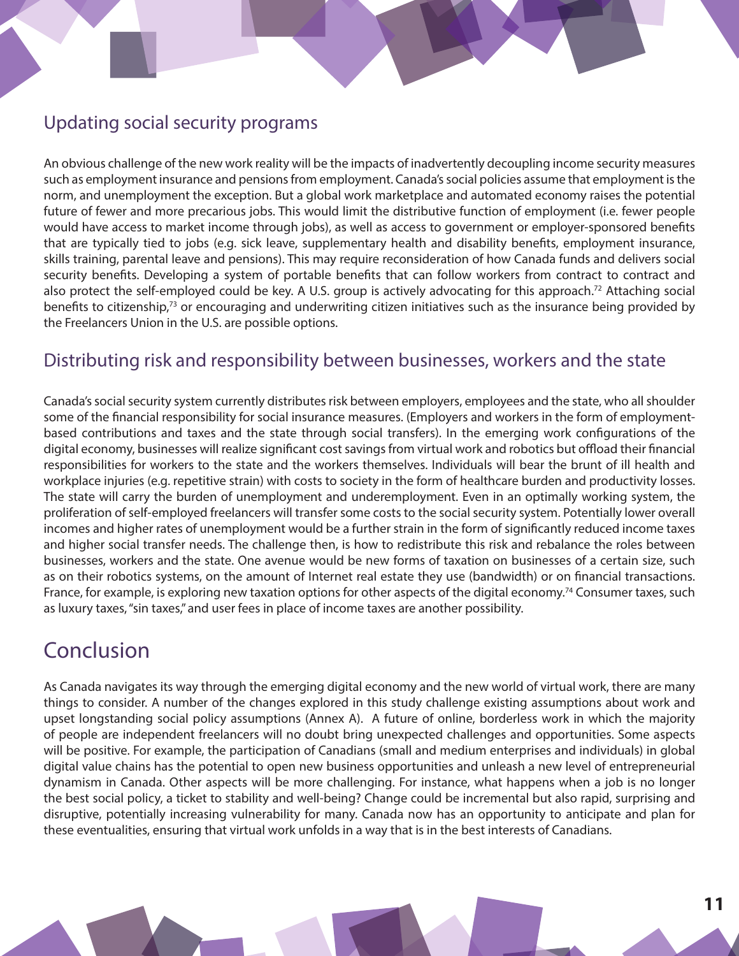# Updating social security programs

An obvious challenge of the new work reality will be the impacts of inadvertently decoupling income security measures such as employment insurance and pensions from employment. Canada's social policies assume that employment is the norm, and unemployment the exception. But a global work marketplace and automated economy raises the potential future of fewer and more precarious jobs. This would limit the distributive function of employment (i.e. fewer people would have access to market income through jobs), as well as access to government or employer-sponsored benefits that are typically tied to jobs (e.g. sick leave, supplementary health and disability benefits, employment insurance, skills training, parental leave and pensions). This may require reconsideration of how Canada funds and delivers social security benefits. Developing a system of portable benefits that can follow workers from contract to contract and also protect the self-employed could be key. A U.S. group is actively advocating for this approach.<sup>72</sup> Attaching social benefits to citizenship,<sup>73</sup> or encouraging and underwriting citizen initiatives such as the insurance being provided by the Freelancers Union in the U.S. are possible options.

## Distributing risk and responsibility between businesses, workers and the state

Canada's social security system currently distributes risk between employers, employees and the state, who all shoulder some of the financial responsibility for social insurance measures. (Employers and workers in the form of employmentbased contributions and taxes and the state through social transfers). In the emerging work configurations of the digital economy, businesses will realize significant cost savings from virtual work and robotics but offload their financial responsibilities for workers to the state and the workers themselves. Individuals will bear the brunt of ill health and workplace injuries (e.g. repetitive strain) with costs to society in the form of healthcare burden and productivity losses. The state will carry the burden of unemployment and underemployment. Even in an optimally working system, the proliferation of self-employed freelancers will transfer some costs to the social security system. Potentially lower overall incomes and higher rates of unemployment would be a further strain in the form of significantly reduced income taxes and higher social transfer needs. The challenge then, is how to redistribute this risk and rebalance the roles between businesses, workers and the state. One avenue would be new forms of taxation on businesses of a certain size, such as on their robotics systems, on the amount of Internet real estate they use (bandwidth) or on financial transactions. France, for example, is exploring new taxation options for other aspects of the digital economy.<sup>74</sup> Consumer taxes, such as luxury taxes, "sin taxes," and user fees in place of income taxes are another possibility.

# Conclusion

As Canada navigates its way through the emerging digital economy and the new world of virtual work, there are many things to consider. A number of the changes explored in this study challenge existing assumptions about work and upset longstanding social policy assumptions (Annex A). A future of online, borderless work in which the majority of people are independent freelancers will no doubt bring unexpected challenges and opportunities. Some aspects will be positive. For example, the participation of Canadians (small and medium enterprises and individuals) in global digital value chains has the potential to open new business opportunities and unleash a new level of entrepreneurial dynamism in Canada. Other aspects will be more challenging. For instance, what happens when a job is no longer the best social policy, a ticket to stability and well-being? Change could be incremental but also rapid, surprising and disruptive, potentially increasing vulnerability for many. Canada now has an opportunity to anticipate and plan for these eventualities, ensuring that virtual work unfolds in a way that is in the best interests of Canadians.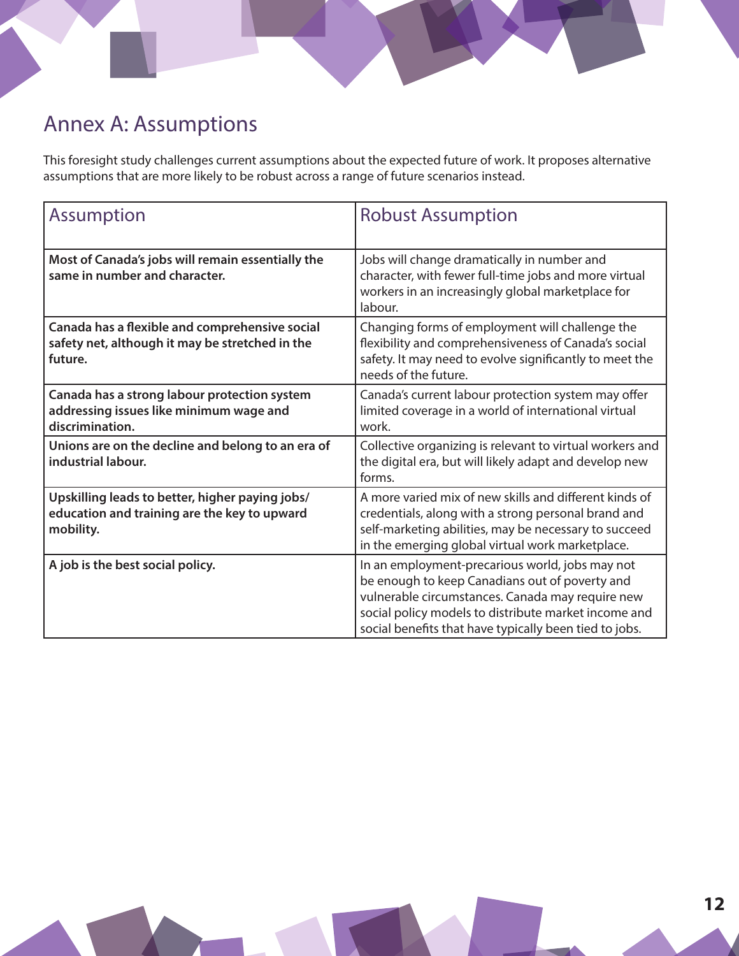# Annex A: Assumptions

This foresight study challenges current assumptions about the expected future of work. It proposes alternative assumptions that are more likely to be robust across a range of future scenarios instead.

| <b>Assumption</b>                                                                                            | <b>Robust Assumption</b>                                                                                                                                                                                                                                                |
|--------------------------------------------------------------------------------------------------------------|-------------------------------------------------------------------------------------------------------------------------------------------------------------------------------------------------------------------------------------------------------------------------|
| Most of Canada's jobs will remain essentially the<br>same in number and character.                           | Jobs will change dramatically in number and<br>character, with fewer full-time jobs and more virtual<br>workers in an increasingly global marketplace for<br>labour.                                                                                                    |
| Canada has a flexible and comprehensive social<br>safety net, although it may be stretched in the<br>future. | Changing forms of employment will challenge the<br>flexibility and comprehensiveness of Canada's social<br>safety. It may need to evolve significantly to meet the<br>needs of the future.                                                                              |
| Canada has a strong labour protection system<br>addressing issues like minimum wage and<br>discrimination.   | Canada's current labour protection system may offer<br>limited coverage in a world of international virtual<br>work.                                                                                                                                                    |
| Unions are on the decline and belong to an era of<br>industrial labour.                                      | Collective organizing is relevant to virtual workers and<br>the digital era, but will likely adapt and develop new<br>forms.                                                                                                                                            |
| Upskilling leads to better, higher paying jobs/<br>education and training are the key to upward<br>mobility. | A more varied mix of new skills and different kinds of<br>credentials, along with a strong personal brand and<br>self-marketing abilities, may be necessary to succeed<br>in the emerging global virtual work marketplace.                                              |
| A job is the best social policy.                                                                             | In an employment-precarious world, jobs may not<br>be enough to keep Canadians out of poverty and<br>vulnerable circumstances. Canada may require new<br>social policy models to distribute market income and<br>social benefits that have typically been tied to jobs. |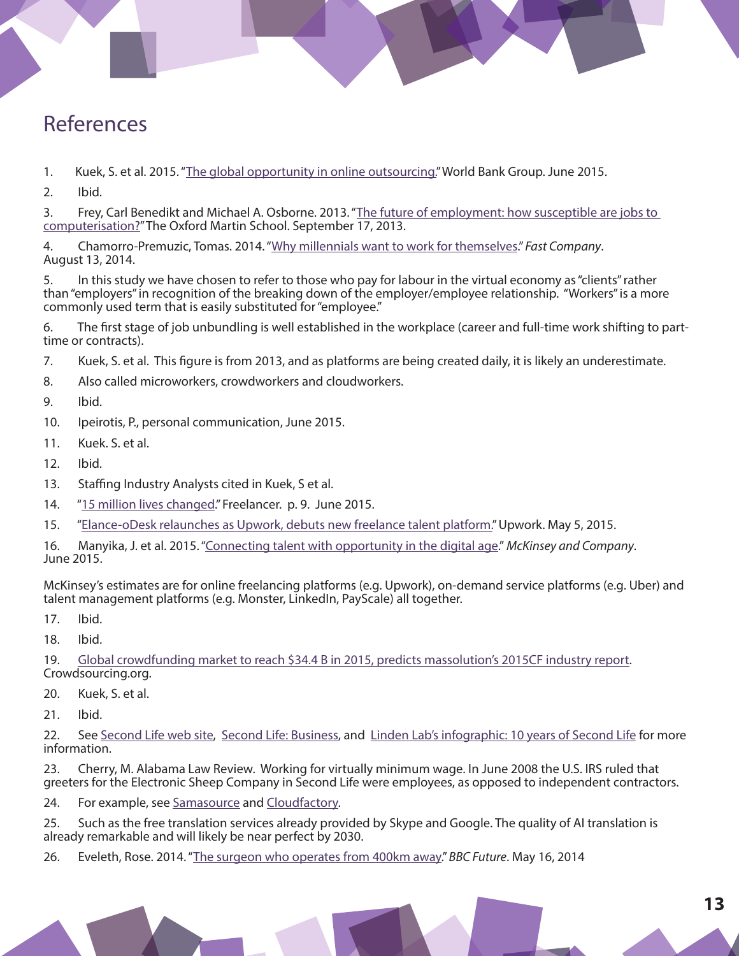# References

1. Kuek, S. et al. 2015. "[The global opportunity in online outsourcing."](http://pubdocs.worldbank.org/pubdocs/publicdoc/2015/6/212201433273511482/Global-OO-Study.pdf) World Bank Group. June 2015.

2. Ibid.

3. Frey, Carl Benedikt and Michael A. Osborne. 2013. ["The future of employment: how susceptible are jobs to](http://www.oxfordmartin.ox.ac.uk/downloads/academic/The_Future_of_Employment.pdf)  [computerisation?](http://www.oxfordmartin.ox.ac.uk/downloads/academic/The_Future_of_Employment.pdf)" The Oxford Martin School. September 17, 2013.

4. Chamorro-Premuzic, Tomas. 2014. "[Why millennials want to work for themselves.](http://www.fastcompany.com/3034268/the-future-of-work/why-millennials-want-to-work-for-themselves)" *Fast Company*. August 13, 2014.

5. In this study we have chosen to refer to those who pay for labour in the virtual economy as "clients" rather than "employers" in recognition of the breaking down of the employer/employee relationship. "Workers" is a more commonly used term that is easily substituted for "employee."

6. The first stage of job unbundling is well established in the workplace (career and full-time work shifting to parttime or contracts).

- 7. Kuek, S. et al. This figure is from 2013, and as platforms are being created daily, it is likely an underestimate.
- 8. Also called microworkers, crowdworkers and cloudworkers.

9. Ibid.

- 10. Ipeirotis, P., personal communication, June 2015.
- 11. Kuek. S. et al.
- 12. Ibid.
- 13. Staffing Industry Analysts cited in Kuek, S et al.
- 14. "[15 million lives changed](http://issuu.com/freelancercom/docs/15mm_ebook?e=17194949/13137055)." Freelancer. p. 9. June 2015.
- 15. "[Elance-oDesk relaunches as Upwork, debuts new freelance talent platform."](https://www.upwork.com/press/2015/05/05/elance-odesk-relaunches-as-upwork-debuts-new-freelance-talent-platform/) Upwork. May 5, 2015.

16. Manyika, J. et al. 2015. ["Connecting talent with opportunity in the digital age.](http://onnecting talent with opportunity in the digital age)" *McKinsey and Company*. June 2015.

McKinsey's estimates are for online freelancing platforms (e.g. Upwork), on-demand service platforms (e.g. Uber) and talent management platforms (e.g. Monster, LinkedIn, PayScale) all together.

17. Ibid.

18. Ibid.

19. [Global crowdfunding market to reach \\$34.4 B in 2015, predicts massolution's 2015CF industry report](http://www.crowdsourcing.org/editorial/global-crowdfunding-market-to-reach-344b-in-2015-predicts-massolutions-2015cf-industry-report/45376).<br>Crowdsourcing.org.

20. Kuek, S. et al.

21. Ibid.

22. See [Second Life web site,](http://www.secondlife.com/) [Second Life: Business](http://secondlife.com/destinations/business), and [Linden Lab's infographic: 10 years of Second Life](http://www.lindenlab.com/releases/infographic-10-years-of-second-life) for more information.

23. Cherry, M. Alabama Law Review. Working for virtually minimum wage. In June 2008 the U.S. IRS ruled that greeters for the Electronic Sheep Company in Second Life were employees, as opposed to independent contractors.

24. For example, see [Samasource](http://www.samasource.org/) and [Cloudfactory](http://cloudfactory.com.np/).

25. Such as the free translation services already provided by Skype and Google. The quality of AI translation is already remarkable and will likely be near perfect by 2030.

26. Eveleth, Rose. 2014. "[The surgeon who operates from 400km away.](http://www.bbc.com/future/story/20140516-i-operate-on-people-400km-away)" *BBC Future*. May 16, 2014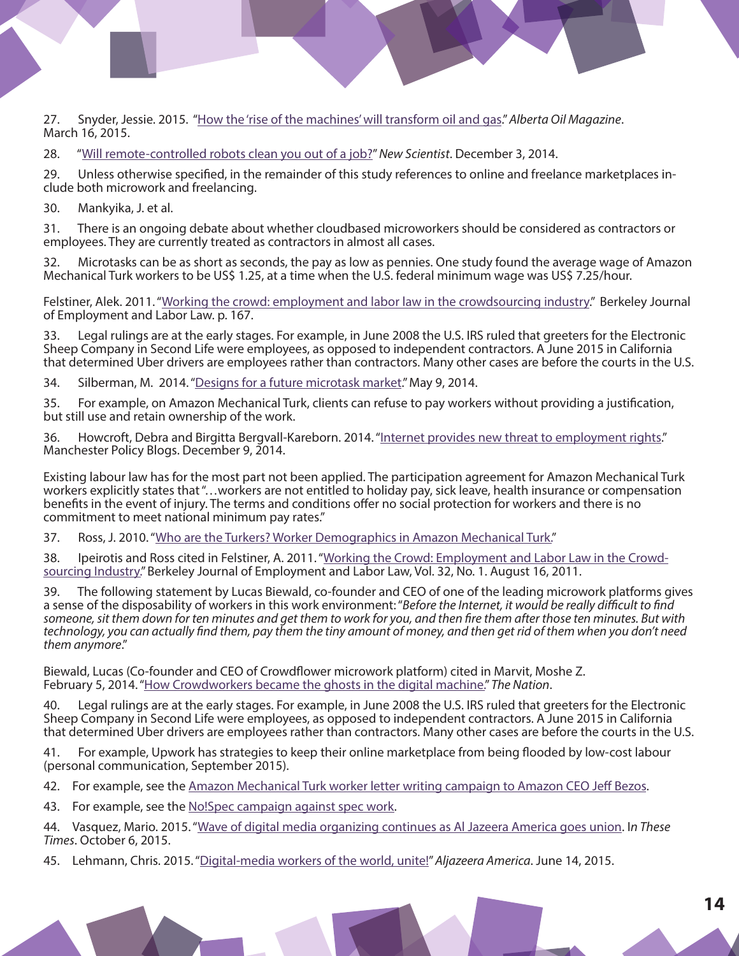27. Snyder, Jessie. 2015. "[How the 'rise of the machines' will transform oil and gas.](http://www.albertaoilmagazine.com/2015/03/rise-of-the-machines/)" *Alberta Oil Magazine*. March 16, 2015.

28. "[Will remote-controlled robots clean you out of a job?"](http://www.newscientist.com/article/mg22429982.300-will-remotecontrolled-robots-clean-you-outof-a-job.html#.VItQefnF98E) *New Scientist*. December 3, 2014.

29. Unless otherwise specified, in the remainder of this study references to online and freelance marketplaces in-<br>clude both microwork and freelancing.

30. Mankyika, J. et al.

31. There is an ongoing debate about whether cloudbased microworkers should be considered as contractors or employees. They are currently treated as contractors in almost all cases.

32. Microtasks can be as short as seconds, the pay as low as pennies. One study found the average wage of Amazon Mechanical Turk workers to be US\$ 1.25, at a time when the U.S. federal minimum wage was US\$ 7.25/hour.

Felstiner, Alek. 2011. "[Working the crowd: employment and labor law in the crowdsourcing industry](http://wtf.tw/ref/felstiner.pdf)." Berkeley Journal of Employment and Labor Law. p. 167.

33. Legal rulings are at the early stages. For example, in June 2008 the U.S. IRS ruled that greeters for the Electronic Sheep Company in Second Life were employees, as opposed to independent contractors. A June 2015 in California that determined Uber drivers are employees rather than contractors. Many other cases are before the courts in the U.S.

34. Silberman, M. 2014. "[Designs for a future microtask market.](http://wtf.tw/text/designs_for_a_future_crowd_work_market_proposal.pdf)" May 9, 2014.

35. For example, on Amazon Mechanical Turk, clients can refuse to pay workers without providing a justification, but still use and retain ownership of the work.

36. Howcroft, Debra and Birgitta Bergvall-Kareborn. 2014. ["Internet provides new threat to employment rights.](http://blog.policy.manchester.ac.uk/featured/2014/12/internet-provides-new-threat-to-employment-rights-2/)" Manchester Policy Blogs. December 9, 2014.

Existing labour law has for the most part not been applied. The participation agreement for Amazon Mechanical Turk workers explicitly states that "…workers are not entitled to holiday pay, sick leave, health insurance or compensation benefits in the event of injury. The terms and conditions offer no social protection for workers and there is no commitment to meet national minimum pay rates."

37. Ross, J. 2010. "[Who are the Turkers? Worker Demographics in Amazon Mechanical Turk.](http://www.international.ucla.edu/media/files/SocialCode-2009-01.pdf)"

38. Ipeirotis and Ross cited in Felstiner, A. 2011. "[Working the Crowd: Employment and Labor Law in the Crowd](http://papers.ssrn.com/sol3/papers.cfm?abstract_id=1593853)[sourcing Industry."](http://papers.ssrn.com/sol3/papers.cfm?abstract_id=1593853) Berkeley Journal of Employment and Labor Law, Vol. 32, No. 1. August 16, 2011.

39. The following statement by Lucas Biewald, co-founder and CEO of one of the leading microwork platforms gives a sense of the disposability of workers in this work environment: "*Before the Internet, it would be really difficult to find someone, sit them down for ten minutes and get them to work for you, and then fire them after those ten minutes. But with technology, you can actually find them, pay them the tiny amount of money, and then get rid of them when you don't need them anymore*."

Biewald, Lucas (Co-founder and CEO of Crowdflower microwork platform) cited in Marvit, Moshe Z. February 5, 2014. "[How Crowdworkers became the ghosts in the digital machine."](http://www.thenation.com/article/how-crowdworkers-became-ghosts-digital-machine/) *The Nation*.

40. Legal rulings are at the early stages. For example, in June 2008 the U.S. IRS ruled that greeters for the Electronic Sheep Company in Second Life were employees, as opposed to independent contractors. A June 2015 in California that determined Uber drivers are employees rather than contractors. Many other cases are before the courts in the U.S.

41. For example, Upwork has strategies to keep their online marketplace from being flooded by low-cost labour (personal communication, September 2015).

42. For example, see the [Amazon Mechanical Turk worker letter writing campaign to Amazon CEO Jeff Bezos.](http://www.theguardian.com/technology/2014/dec/03/amazon-mechanical-turk-workers-protest-jeff-bezos)

43. For example, see the [No!Spec campaign against spec work.](http://www.nospec.com/)

44. Vasquez, Mario. 2015. "[Wave of digital media organizing continues as Al Jazeera America goes union](http://inthesetimes.com/working/entry/18478/al-jazeera-america-union). I*n These Times*. October 6, 2015.

45. Lehmann, Chris. 2015. "[Digital-media workers of the world, unite!](http://america.aljazeera.com/opinions/2015/6/digital-media-workers-of-the-world-unite.html)" *Aljazeera America*. June 14, 2015.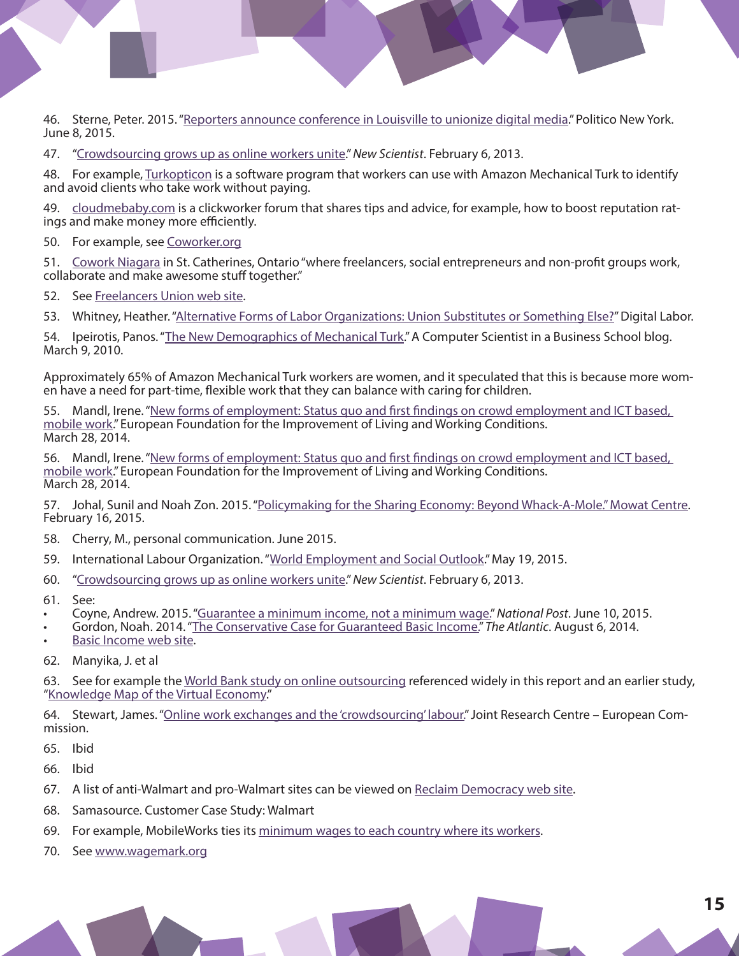46. Sterne, Peter. 2015. ["Reporters announce conference in Louisville to unionize digital media.](http://www.capitalnewyork.com/article/media/2015/06/8569683/reporters-announce-conference-louisville-unionize-digital-media)" Politico New York. June 8, 2015.

47. "[Crowdsourcing grows up as online workers unite](http://www.newscientist.com/article/mg21729036.200-crowdsourcing-grows-up-as-online-workers-unite.html#.VZMiUflVhBc)." *New Scientist*. February 6, 2013.

48. For example, [Turkopticon](https://turkopticon.ucsd.edu/) is a software program that workers can use with Amazon Mechanical Turk to identify and avoid clients who take work without paying.

49. [cloudmebaby.com](http://www.cloudmebaby.com/forums/portal.php) is a clickworker forum that shares tips and advice, for example, how to boost reputation ratings and make money more efficiently.

50. For example, see [Coworker.org](https://www.coworker.org/)

51. [Cowork Niagara](http://coworkniagara.com/) in St. Catherines, Ontario "where freelancers, social entrepreneurs and non-profit groups work, collaborate and make awesome stuff together."

52. See [Freelancers Union web site](https://www.freelancersunion.org/benefits/).

53. Whitney, Heather. ["Alternative Forms of Labor Organizations: Union Substitutes or Something Else?](http://digitallabor.org/schedule/alternate-forms-of-labor-organizations)" Digital Labor.

54. Ipeirotis, Panos. "[The New Demographics of Mechanical Turk.](http://www.behind-the-enemy-lines.com/2010/03/new-demographics-of-mechanical-turk.html)" A Computer Scientist in a Business School blog. March 9, 2010.

Approximately 65% of Amazon Mechanical Turk workers are women, and it speculated that this is because more wom-<br>en have a need for part-time, flexible work that they can balance with caring for children.

55. Mandl, Irene. "New forms of employment: Status quo and first findings on crowd employment and ICT based, [mobile work](http://dynamicsofvirtualwork.com/wp-content/uploads/2014/04/Mandl-presentation.pdf)." European Foundation for the Improvement of Living and Working Conditions. March 28, 2014.

56. Mandl, Irene. "New forms of employment: Status quo and first findings on crowd employment and ICT based, [mobile work](http://dynamicsofvirtualwork.com/wp-content/uploads/2014/04/Mandl-presentation.pdf)." European Foundation for the Improvement of Living and Working Conditions. March 28, 2014.

57. Johal, Sunil and Noah Zon. 2015. "[Policymaking for the Sharing Economy: Beyond Whack-A-Mole." Mowat Centre](http://mowatcentre.ca/policymaking-in-the-sharing-economy/).<br>February 16, 2015.

- 58. Cherry, M., personal communication. June 2015.
- 59. International Labour Organization. "[World Employment and Social Outlook](http://www.ilo.org/global/research/global-reports/weso/2015-changing-nature-of-jobs/WCMS_368626/lang--en/index.htm)." May 19, 2015.
- 60. "[Crowdsourcing grows up as online workers unite](http://www.newscientist.com/article/mg21729036.200-crowdsourcing-grows-up-as-online-workers-unite.html#.VZMiUflVhBc)." *New Scientist*. February 6, 2013.
- 61. See:
- Coyne, Andrew. 2015. "[Guarantee a minimum income, not a minimum wage.](http://news.nationalpost.com/full-comment/andrew-coyne-guarantee-a-minimum-income-not-a-minimum-wage)" *National Post*. June 10, 2015.
- Gordon, Noah. 2014. "[The Conservative Case for Guaranteed Basic Income."](http://www.theatlantic.com/politics/archive/2014/08/why-arent-reformicons-pushing-a-guaranteed-basic-income/375600/) *The Atlantic*. August 6, 2014.
- [Basic Income web site](http://www.basicincome.org/).
- 62. Manyika, J. et al

63. [See for example the](https://www.infodev.org/infodev-files/resource/InfodevDocuments_1056.pdf) <u>[World Bank study on online outsourcing](http://pubdocs.worldbank.org/pubdocs/publicdoc/2015/6/212201433273511482/Global-OO-Study.pdf)</u> referenced widely in this report and an earlier study,<br>"[Knowledge Map of the Virtual Economy.](https://www.infodev.org/infodev-files/resource/InfodevDocuments_1056.pdf)["](http://pubdocs.worldbank.org/pubdocs/publicdoc/2015/6/212201433273511482/Global-OO-Study.pdf)

64. Stewart, James. "[Online work exchanges and the 'crowdsourcing' labour."](http://is.jrc.ec.europa.eu/pages/documents/Onlineworkexchanges.pdf) Joint Research Centre – European Commission.

- 65. Ibid
- 66. Ibid
- 67. A list of anti-Walmart and pro-Walmart sites can be viewed on [Reclaim Democracy web site.](http://reclaimdemocracy.org/walmart_links/)
- 68. Samasource. Customer Case Study: Walmart
- 69. For example, MobileWorks ties its [minimum wages to each country where its workers.](http://www.newscientist.com/article/mg21729036.200-crowdsourcing-grows-up-as-online-workers-unite.html#.VZMiUflVhBc)
- 70. See [www.wagemark.org](http://www.wagemark.org/)